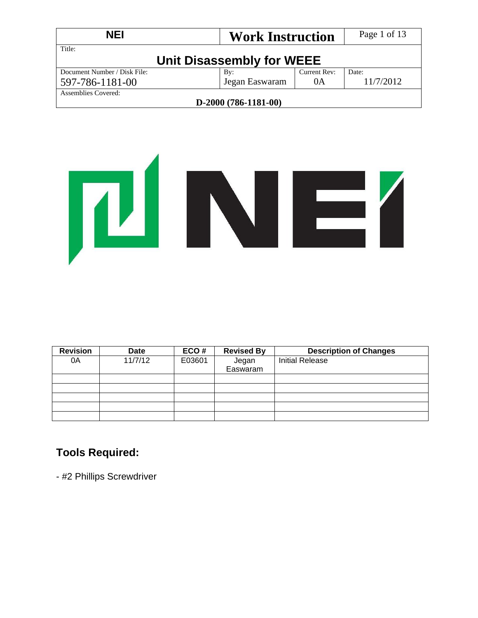| <b>NEI</b>                   | <b>Work Instruction</b>   |              | Page 1 of 13 |
|------------------------------|---------------------------|--------------|--------------|
| Title:                       | Unit Disassembly for WEEE |              |              |
| Document Number / Disk File: | By:                       | Current Rev: | Date:        |
| 597-786-1181-00              | Jegan Easwaram            | 0A           | 11/7/2012    |
| Assemblies Covered:          |                           |              |              |
|                              | $D-2000(786-1181-00)$     |              |              |



| <b>Revision</b> | <b>Date</b> | ECO#   | <b>Revised By</b> | <b>Description of Changes</b> |
|-----------------|-------------|--------|-------------------|-------------------------------|
| 0A              | 11/7/12     | E03601 | Jegan             | <b>Initial Release</b>        |
|                 |             |        | Easwaram          |                               |
|                 |             |        |                   |                               |
|                 |             |        |                   |                               |
|                 |             |        |                   |                               |
|                 |             |        |                   |                               |
|                 |             |        |                   |                               |

## **Tools Required:**

- #2 Phillips Screwdriver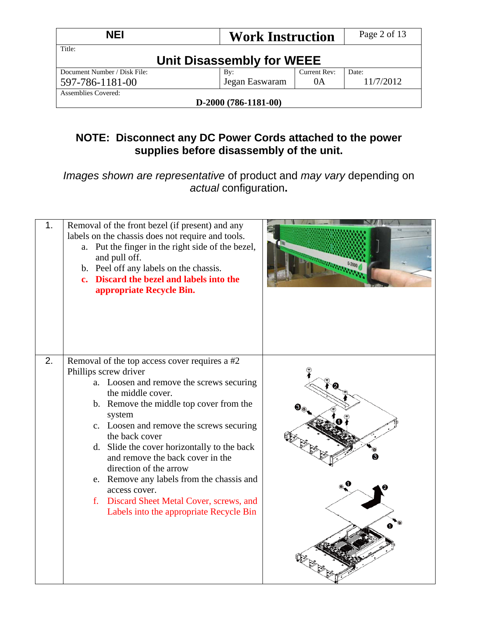| <b>NEI</b>                   |                           | <b>Work Instruction</b> |              | Page 2 of 13 |
|------------------------------|---------------------------|-------------------------|--------------|--------------|
| Title:                       | Unit Disassembly for WEEE |                         |              |              |
| Document Number / Disk File: | By:                       |                         | Current Rev: | Date:        |
| 597-786-1181-00              |                           | Jegan Easwaram          | 0A           | 11/7/2012    |
| Assemblies Covered:          |                           |                         |              |              |
|                              | $D-2000(786-1181-00)$     |                         |              |              |

## **NOTE: Disconnect any DC Power Cords attached to the power supplies before disassembly of the unit.**

*Images shown are representative* of product and *may vary* depending on *actual* configuration**.** 

| 1. | Removal of the front bezel (if present) and any<br>labels on the chassis does not require and tools.<br>a. Put the finger in the right side of the bezel,<br>and pull off.<br>b. Peel off any labels on the chassis.<br>c. Discard the bezel and labels into the<br>appropriate Recycle Bin.                                                                                                                                                                                                                                  |  |
|----|-------------------------------------------------------------------------------------------------------------------------------------------------------------------------------------------------------------------------------------------------------------------------------------------------------------------------------------------------------------------------------------------------------------------------------------------------------------------------------------------------------------------------------|--|
| 2. | Removal of the top access cover requires a #2<br>Phillips screw driver<br>a. Loosen and remove the screws securing<br>the middle cover.<br>b. Remove the middle top cover from the<br>system<br>c. Loosen and remove the screws securing<br>the back cover<br>d. Slide the cover horizontally to the back<br>and remove the back cover in the<br>direction of the arrow<br>e. Remove any labels from the chassis and<br>access cover.<br>f. Discard Sheet Metal Cover, screws, and<br>Labels into the appropriate Recycle Bin |  |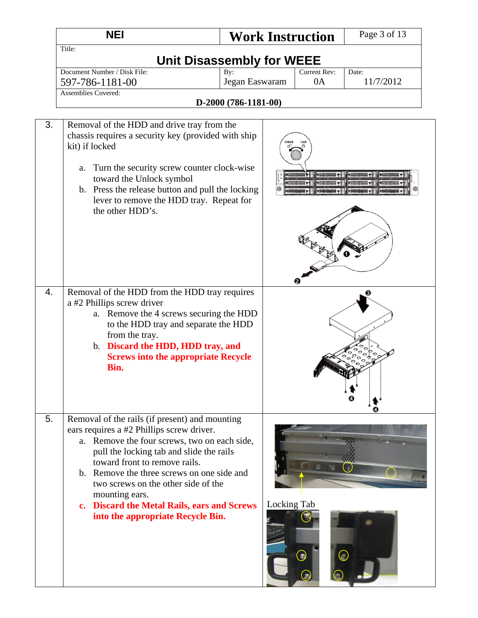|    | <b>NEI</b>                                                                                                                                                                                                                                                                                                                                                                                                          | <b>Work Instruction</b>          |                    | Page 3 of 13       |
|----|---------------------------------------------------------------------------------------------------------------------------------------------------------------------------------------------------------------------------------------------------------------------------------------------------------------------------------------------------------------------------------------------------------------------|----------------------------------|--------------------|--------------------|
|    | Title:                                                                                                                                                                                                                                                                                                                                                                                                              | <b>Unit Disassembly for WEEE</b> |                    |                    |
|    | Document Number / Disk File:<br>597-786-1181-00                                                                                                                                                                                                                                                                                                                                                                     | By:<br>Jegan Easwaram            | Current Rev:<br>0A | Date:<br>11/7/2012 |
|    | Assemblies Covered:                                                                                                                                                                                                                                                                                                                                                                                                 | D-2000 (786-1181-00)             |                    |                    |
| 3. | Removal of the HDD and drive tray from the<br>chassis requires a security key (provided with ship<br>kit) if locked<br>Turn the security screw counter clock-wise<br>a.<br>toward the Unlock symbol<br>b. Press the release button and pull the locking<br>lever to remove the HDD tray. Repeat for<br>the other HDD's.                                                                                             |                                  |                    |                    |
| 4. | Removal of the HDD from the HDD tray requires<br>a #2 Phillips screw driver<br>a. Remove the 4 screws securing the HDD<br>to the HDD tray and separate the HDD<br>from the tray.<br>b. Discard the HDD, HDD tray, and<br><b>Screws into the appropriate Recycle</b><br>Bin.                                                                                                                                         |                                  |                    |                    |
| 5. | Removal of the rails (if present) and mounting<br>ears requires a #2 Phillips screw driver.<br>a. Remove the four screws, two on each side,<br>pull the locking tab and slide the rails<br>toward front to remove rails.<br>b. Remove the three screws on one side and<br>two screws on the other side of the<br>mounting ears.<br>c. Discard the Metal Rails, ears and Screws<br>into the appropriate Recycle Bin. | Locking Tab                      |                    |                    |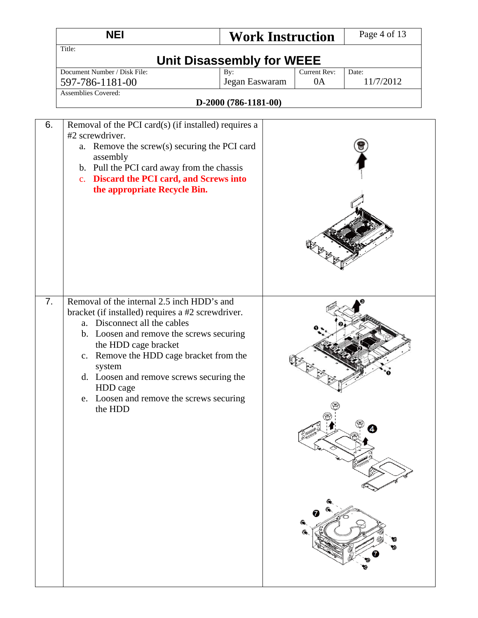|                  | <b>NEI</b>                                                                                                                                                                                                                                                                                                                                                              |                                               | <b>Work Instruction</b> | Page 4 of 13       |
|------------------|-------------------------------------------------------------------------------------------------------------------------------------------------------------------------------------------------------------------------------------------------------------------------------------------------------------------------------------------------------------------------|-----------------------------------------------|-------------------------|--------------------|
|                  | Title:                                                                                                                                                                                                                                                                                                                                                                  | <b>Unit Disassembly for WEEE</b>              |                         |                    |
|                  | Document Number / Disk File:<br>597-786-1181-00<br><b>Assemblies Covered:</b>                                                                                                                                                                                                                                                                                           | By:<br>Jegan Easwaram<br>D-2000 (786-1181-00) | Current Rev:<br>0A      | Date:<br>11/7/2012 |
| 6.               | Removal of the PCI card(s) (if installed) requires a<br>#2 screwdriver.<br>a. Remove the screw(s) securing the PCI card<br>assembly<br>b. Pull the PCI card away from the chassis<br>c. Discard the PCI card, and Screws into<br>the appropriate Recycle Bin.                                                                                                           |                                               |                         |                    |
| $\overline{7}$ . | Removal of the internal 2.5 inch HDD's and<br>bracket (if installed) requires a #2 screwdriver.<br>a. Disconnect all the cables<br>b. Loosen and remove the screws securing<br>the HDD cage bracket<br>c. Remove the HDD cage bracket from the<br>system<br>d. Loosen and remove screws securing the<br>HDD cage<br>e. Loosen and remove the screws securing<br>the HDD |                                               |                         |                    |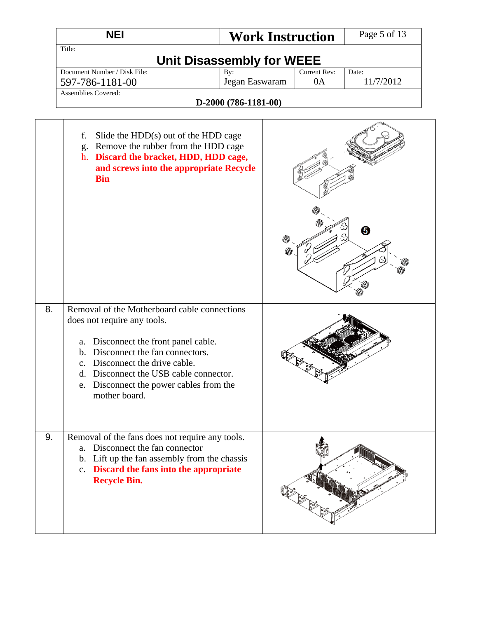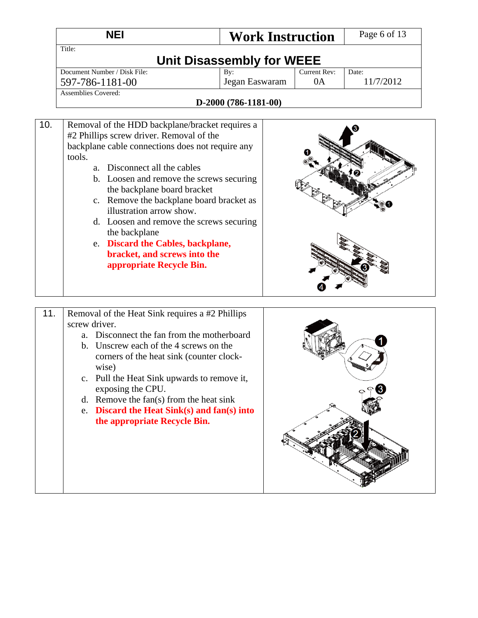|     | <b>NEI</b>                                                                                                                                                                                                                                                                                                                                                                                                                                                                                                 | <b>Work Instruction</b> |                    | Page 6 of 13       |  |  |  |  |
|-----|------------------------------------------------------------------------------------------------------------------------------------------------------------------------------------------------------------------------------------------------------------------------------------------------------------------------------------------------------------------------------------------------------------------------------------------------------------------------------------------------------------|-------------------------|--------------------|--------------------|--|--|--|--|
|     | Title:<br><b>Unit Disassembly for WEEE</b>                                                                                                                                                                                                                                                                                                                                                                                                                                                                 |                         |                    |                    |  |  |  |  |
|     | Document Number / Disk File:<br>597-786-1181-00                                                                                                                                                                                                                                                                                                                                                                                                                                                            | By:<br>Jegan Easwaram   | Current Rev:<br>0A | Date:<br>11/7/2012 |  |  |  |  |
|     | <b>Assemblies Covered:</b>                                                                                                                                                                                                                                                                                                                                                                                                                                                                                 | D-2000 (786-1181-00)    |                    |                    |  |  |  |  |
| 10. | Removal of the HDD backplane/bracket requires a<br>#2 Phillips screw driver. Removal of the<br>backplane cable connections does not require any<br>tools.<br>a. Disconnect all the cables<br>b. Loosen and remove the screws securing<br>the backplane board bracket<br>c. Remove the backplane board bracket as<br>illustration arrow show.<br>d. Loosen and remove the screws securing<br>the backplane<br>e. Discard the Cables, backplane,<br>bracket, and screws into the<br>appropriate Recycle Bin. |                         |                    |                    |  |  |  |  |

 $\circ$   $\circ$  8

| 11. |    | Removal of the Heat Sink requires a #2 Phillips               |  |
|-----|----|---------------------------------------------------------------|--|
|     |    | screw driver.                                                 |  |
|     | a. | Disconnect the fan from the motherboard                       |  |
|     | b. | Unscrew each of the 4 screws on the                           |  |
|     |    | corners of the heat sink (counter clock-                      |  |
|     |    | wise)                                                         |  |
|     |    | c. Pull the Heat Sink upwards to remove it,                   |  |
|     |    | exposing the CPU.                                             |  |
|     | d. | Remove the fan(s) from the heat sink                          |  |
|     |    | e. Discard the Heat $\text{Sink}(s)$ and $\text{fan}(s)$ into |  |
|     |    | the appropriate Recycle Bin.                                  |  |
|     |    |                                                               |  |
|     |    |                                                               |  |
|     |    |                                                               |  |
|     |    |                                                               |  |
|     |    |                                                               |  |
|     |    |                                                               |  |
|     |    |                                                               |  |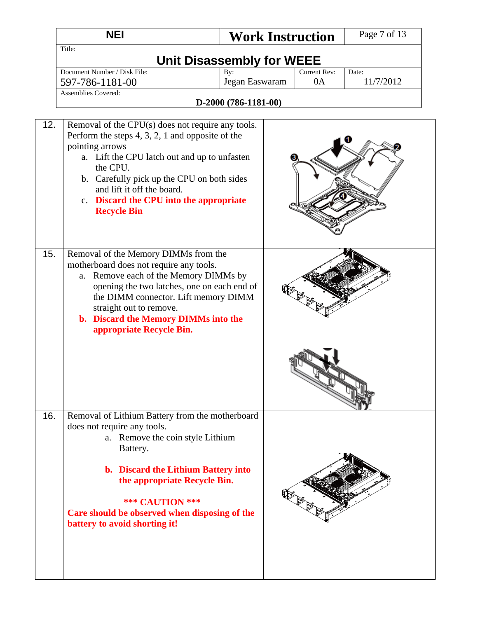|     | <b>NEI</b>                                                                                                                                                                                                                                                                                                                          | <b>Work Instruction</b>                |  | Page 7 of 13 |
|-----|-------------------------------------------------------------------------------------------------------------------------------------------------------------------------------------------------------------------------------------------------------------------------------------------------------------------------------------|----------------------------------------|--|--------------|
|     | Title:                                                                                                                                                                                                                                                                                                                              | <b>Unit Disassembly for WEEE</b>       |  |              |
|     | Document Number / Disk File:<br>597-786-1181-00                                                                                                                                                                                                                                                                                     | Date:<br>11/7/2012                     |  |              |
|     | Assemblies Covered:                                                                                                                                                                                                                                                                                                                 | Jegan Easwaram<br>D-2000 (786-1181-00) |  |              |
|     |                                                                                                                                                                                                                                                                                                                                     |                                        |  |              |
| 12. | Removal of the CPU(s) does not require any tools.<br>Perform the steps $4, 3, 2, 1$ and opposite of the<br>pointing arrows<br>a. Lift the CPU latch out and up to unfasten<br>the CPU.<br>b. Carefully pick up the CPU on both sides<br>and lift it off the board.<br>c. Discard the CPU into the appropriate<br><b>Recycle Bin</b> |                                        |  |              |
| 15. | Removal of the Memory DIMMs from the<br>motherboard does not require any tools.<br>a. Remove each of the Memory DIMMs by<br>opening the two latches, one on each end of<br>the DIMM connector. Lift memory DIMM<br>straight out to remove.<br>b. Discard the Memory DIMMs into the<br>appropriate Recycle Bin.                      |                                        |  |              |
|     |                                                                                                                                                                                                                                                                                                                                     |                                        |  |              |
| 16. | Removal of Lithium Battery from the motherboard<br>does not require any tools.<br>a. Remove the coin style Lithium<br>Battery.<br><b>b.</b> Discard the Lithium Battery into<br>the appropriate Recycle Bin.<br><b>*** CAUTION ***</b><br>Care should be observed when disposing of the<br>battery to avoid shorting it!            |                                        |  |              |
|     |                                                                                                                                                                                                                                                                                                                                     |                                        |  |              |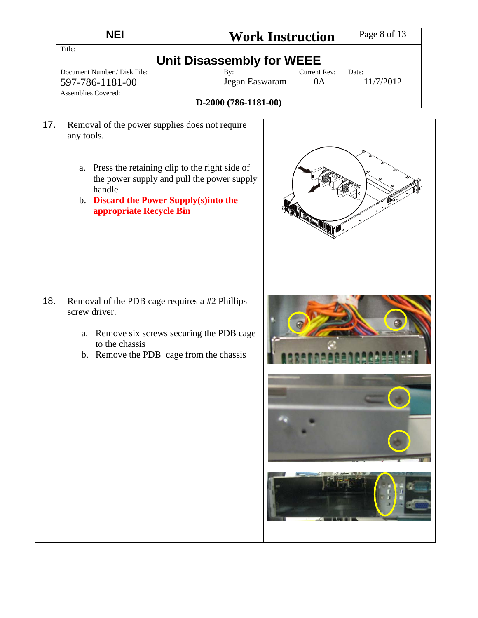|     | <b>NEI</b>                                                                                                                                                                                                                                       | <b>Work Instruction</b>          |                        | Page 8 of 13       |
|-----|--------------------------------------------------------------------------------------------------------------------------------------------------------------------------------------------------------------------------------------------------|----------------------------------|------------------------|--------------------|
|     | Title:                                                                                                                                                                                                                                           | <b>Unit Disassembly for WEEE</b> |                        |                    |
|     | Document Number / Disk File:<br>597-786-1181-00                                                                                                                                                                                                  | By:<br>Jegan Easwaram            | Current Rev:<br>0A     | Date:<br>11/7/2012 |
|     | <b>Assemblies Covered:</b>                                                                                                                                                                                                                       |                                  |                        |                    |
|     |                                                                                                                                                                                                                                                  | D-2000 (786-1181-00)             |                        |                    |
| 17. | Removal of the power supplies does not require<br>any tools.<br>Press the retaining clip to the right side of<br>a.<br>the power supply and pull the power supply<br>handle<br>b. Discard the Power Supply(s)into the<br>appropriate Recycle Bin |                                  | <b>RANTING COMMENT</b> |                    |
| 18. | Removal of the PDB cage requires a #2 Phillips<br>screw driver.<br>Remove six screws securing the PDB cage<br>a.<br>to the chassis<br>b. Remove the PDB cage from the chassis                                                                    |                                  |                        |                    |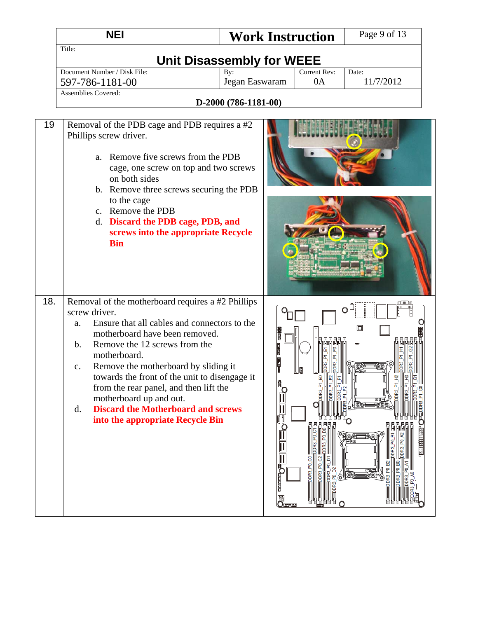|                                                    | <b>NEI</b>                                                                                                                                                                                                                                                                                                                                                                                                                                           | <b>Work Instruction</b>          |              | Page 9 of 13       |
|----------------------------------------------------|------------------------------------------------------------------------------------------------------------------------------------------------------------------------------------------------------------------------------------------------------------------------------------------------------------------------------------------------------------------------------------------------------------------------------------------------------|----------------------------------|--------------|--------------------|
| Title:                                             |                                                                                                                                                                                                                                                                                                                                                                                                                                                      |                                  |              |                    |
|                                                    |                                                                                                                                                                                                                                                                                                                                                                                                                                                      | <b>Unit Disassembly for WEEE</b> |              |                    |
|                                                    | Document Number / Disk File:                                                                                                                                                                                                                                                                                                                                                                                                                         | By:                              | Current Rev: | Date:<br>11/7/2012 |
|                                                    | 597-786-1181-00<br><b>Assemblies Covered:</b>                                                                                                                                                                                                                                                                                                                                                                                                        | Jegan Easwaram                   | 0A           |                    |
|                                                    |                                                                                                                                                                                                                                                                                                                                                                                                                                                      | D-2000 (786-1181-00)             |              |                    |
|                                                    |                                                                                                                                                                                                                                                                                                                                                                                                                                                      |                                  |              |                    |
| 19                                                 | Removal of the PDB cage and PDB requires a #2<br>Phillips screw driver.<br>a. Remove five screws from the PDB<br>cage, one screw on top and two screws<br>on both sides<br>b. Remove three screws securing the PDB<br>to the cage<br>c. Remove the PDB<br>d. Discard the PDB cage, PDB, and<br>screws into the appropriate Recycle<br><b>Bin</b>                                                                                                     |                                  |              |                    |
| 18.<br>a.<br>$\mathbf{b}$ .<br>$C_{\bullet}$<br>d. | Removal of the motherboard requires a #2 Phillips<br>screw driver.<br>Ensure that all cables and connectors to the<br>motherboard have been removed.<br>Remove the 12 screws from the<br>motherboard.<br>Remove the motherboard by sliding it<br>towards the front of the unit to disengage it<br>from the rear panel, and then lift the<br>motherboard up and out.<br><b>Discard the Motherboard and screws</b><br>into the appropriate Recycle Bin | E                                |              | O<br>⊡             |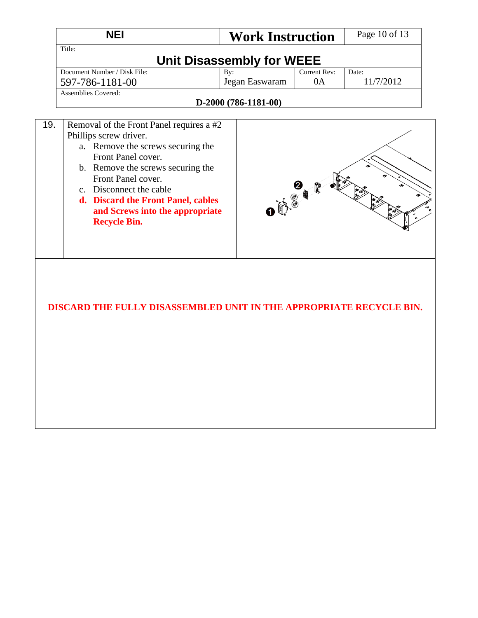| <b>NEI</b>                                           |                                                                                                                                                                                                                                                                    | <b>Work Instruction</b>                                                    |                           | Page 10 of 13      |
|------------------------------------------------------|--------------------------------------------------------------------------------------------------------------------------------------------------------------------------------------------------------------------------------------------------------------------|----------------------------------------------------------------------------|---------------------------|--------------------|
| Title:                                               |                                                                                                                                                                                                                                                                    | Unit Disassembly for WEEE                                                  |                           |                    |
| Document Number / Disk File:<br>597-786-1181-00      |                                                                                                                                                                                                                                                                    | By:<br>Jegan Easwaram                                                      | <b>Current Rev:</b><br>0A | Date:<br>11/7/2012 |
| <b>Assemblies Covered:</b>                           |                                                                                                                                                                                                                                                                    | D-2000 (786-1181-00)                                                       |                           |                    |
| 19.<br>Phillips screw driver.<br><b>Recycle Bin.</b> | Removal of the Front Panel requires a #2<br>a. Remove the screws securing the<br>Front Panel cover.<br>b. Remove the screws securing the<br>Front Panel cover.<br>c. Disconnect the cable<br>d. Discard the Front Panel, cables<br>and Screws into the appropriate | 00000                                                                      |                           |                    |
|                                                      |                                                                                                                                                                                                                                                                    | <b>DISCARD THE FULLY DISASSEMBLED UNIT IN THE APPROPRIATE RECYCLE BIN.</b> |                           |                    |
|                                                      |                                                                                                                                                                                                                                                                    |                                                                            |                           |                    |
|                                                      |                                                                                                                                                                                                                                                                    |                                                                            |                           |                    |
|                                                      |                                                                                                                                                                                                                                                                    |                                                                            |                           |                    |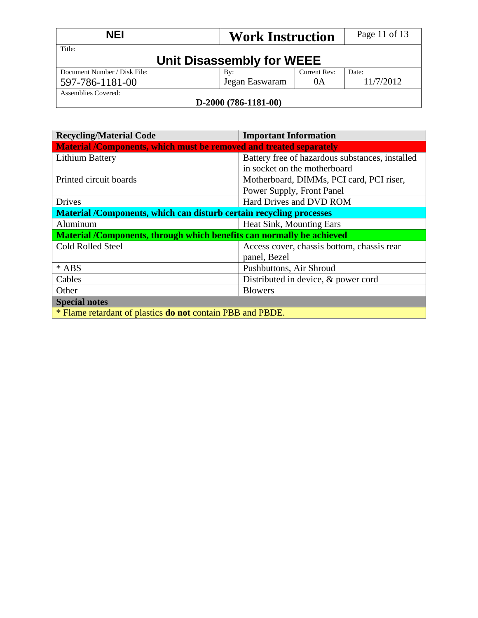| <b>NEI</b><br><b>Work Instruction</b> |                 | Page 11 of 13 |           |  |
|---------------------------------------|-----------------|---------------|-----------|--|
| Title:<br>Unit Disassembly for WEEE   |                 |               |           |  |
| Document Number / Disk File:          | $\mathbf{B}v$ : | Current Rev:  | Date:     |  |
| 597-786-1181-00                       | Jegan Easwaram  | 0A            | 11/7/2012 |  |
| Assemblies Covered:                   |                 |               |           |  |
| $D-2000(786-1181-00)$                 |                 |               |           |  |

#### **D-2000 (786-1181-00)**

| <b>Recycling/Material Code</b>                                        | <b>Important Information</b>                    |  |  |
|-----------------------------------------------------------------------|-------------------------------------------------|--|--|
| Material /Components, which must be removed and treated separately    |                                                 |  |  |
| Lithium Battery                                                       | Battery free of hazardous substances, installed |  |  |
|                                                                       | in socket on the motherboard                    |  |  |
| Printed circuit boards                                                | Motherboard, DIMMs, PCI card, PCI riser,        |  |  |
|                                                                       | Power Supply, Front Panel                       |  |  |
| <b>Drives</b>                                                         | Hard Drives and DVD ROM                         |  |  |
| Material /Components, which can disturb certain recycling processes   |                                                 |  |  |
| Aluminum                                                              | Heat Sink, Mounting Ears                        |  |  |
| Material /Components, through which benefits can normally be achieved |                                                 |  |  |
| <b>Cold Rolled Steel</b>                                              | Access cover, chassis bottom, chassis rear      |  |  |
|                                                                       | panel, Bezel                                    |  |  |
| * ABS                                                                 | Pushbuttons, Air Shroud                         |  |  |
| Cables                                                                | Distributed in device, & power cord             |  |  |
| Other                                                                 | <b>Blowers</b>                                  |  |  |
| <b>Special notes</b>                                                  |                                                 |  |  |
| * Flame retardant of plastics <b>do not</b> contain PBB and PBDE.     |                                                 |  |  |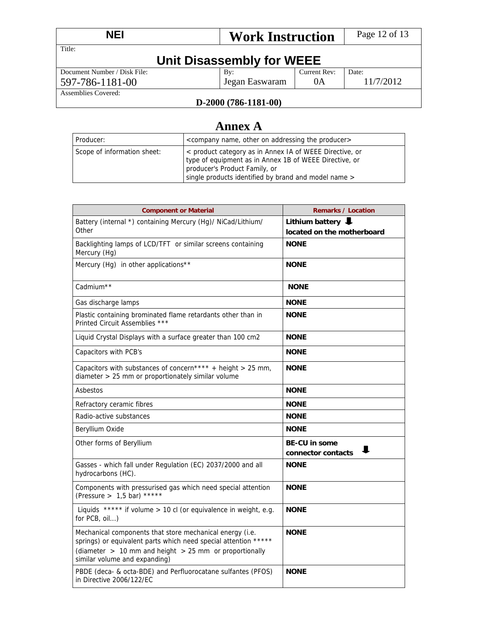| <b>NEI</b><br><b>Work Instruction</b> |                | Page 12 of 13 |           |  |
|---------------------------------------|----------------|---------------|-----------|--|
| Title:                                |                |               |           |  |
| Unit Disassembly for WEEE             |                |               |           |  |
| Document Number / Disk File:          | By:            | Current Rev:  | Date:     |  |
| 597-786-1181-00                       | Jegan Easwaram | 0A            | 11/7/2012 |  |
| Assemblies Covered:                   |                |               |           |  |
| T <i>ኅበበበ (706-</i> 1101-ሰበ)          |                |               |           |  |

#### **D-2000 (786-1181-00)**

# **Annex A**

| Producer:                   | <company addressing="" name,="" on="" other="" producer="" the=""></company>                                                                                                                               |
|-----------------------------|------------------------------------------------------------------------------------------------------------------------------------------------------------------------------------------------------------|
| Scope of information sheet: | < product category as in Annex IA of WEEE Directive, or<br>type of equipment as in Annex 1B of WEEE Directive, or<br>producer's Product Family, or<br>single products identified by brand and model name > |

| <b>Component or Material</b>                                                                                                                                                                                               | <b>Remarks / Location</b>                       |  |
|----------------------------------------------------------------------------------------------------------------------------------------------------------------------------------------------------------------------------|-------------------------------------------------|--|
| Battery (internal *) containing Mercury (Hg)/ NiCad/Lithium/<br>Other                                                                                                                                                      | Lithium battery<br>located on the motherboard   |  |
| Backlighting lamps of LCD/TFT or similar screens containing<br>Mercury (Hg)                                                                                                                                                | <b>NONE</b>                                     |  |
| Mercury (Hg) in other applications**                                                                                                                                                                                       | <b>NONE</b>                                     |  |
| Cadmium <sup>**</sup>                                                                                                                                                                                                      | <b>NONE</b>                                     |  |
| Gas discharge lamps                                                                                                                                                                                                        | <b>NONE</b>                                     |  |
| Plastic containing brominated flame retardants other than in<br>Printed Circuit Assemblies ***                                                                                                                             | <b>NONE</b>                                     |  |
| Liquid Crystal Displays with a surface greater than 100 cm2                                                                                                                                                                | <b>NONE</b>                                     |  |
| Capacitors with PCB's                                                                                                                                                                                                      | <b>NONE</b>                                     |  |
| Capacitors with substances of concern**** + height > 25 mm,<br>diameter > 25 mm or proportionately similar volume                                                                                                          | <b>NONE</b>                                     |  |
| Asbestos                                                                                                                                                                                                                   | <b>NONE</b>                                     |  |
| Refractory ceramic fibres                                                                                                                                                                                                  | <b>NONE</b>                                     |  |
| Radio-active substances                                                                                                                                                                                                    | <b>NONE</b>                                     |  |
| Beryllium Oxide                                                                                                                                                                                                            | <b>NONE</b>                                     |  |
| Other forms of Beryllium                                                                                                                                                                                                   | <b>BE-CU in some</b><br>ш<br>connector contacts |  |
| Gasses - which fall under Regulation (EC) 2037/2000 and all<br>hydrocarbons (HC).                                                                                                                                          | <b>NONE</b>                                     |  |
| Components with pressurised gas which need special attention<br>(Pressure > $1,5$ bar) *****                                                                                                                               | <b>NONE</b>                                     |  |
| Liquids ***** if volume > 10 cl (or equivalence in weight, e.g.<br>for PCB, oil)                                                                                                                                           | <b>NONE</b>                                     |  |
| Mechanical components that store mechanical energy (i.e.<br>springs) or equivalent parts which need special attention *****<br>(diameter $> 10$ mm and height $> 25$ mm or proportionally<br>similar volume and expanding) | <b>NONE</b>                                     |  |
| PBDE (deca- & octa-BDE) and Perfluorocatane sulfantes (PFOS)<br>in Directive 2006/122/EC                                                                                                                                   | <b>NONE</b>                                     |  |